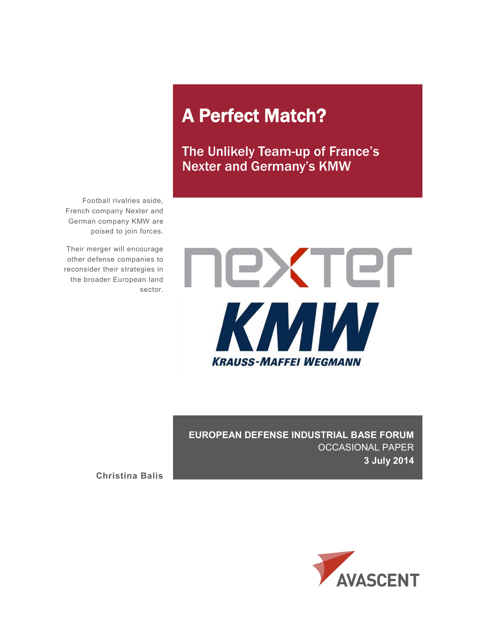# A Perfect Match?

The Unlikely Team-up of France's Nexter and Germany's KMW

Football rivalries aside, French company Nexter and German company KMW are poised to join forces.

Their merger will encourage other defense companies to reconsider their strategies in the broader European land sector.



**EUROPEAN DEFENSE INDUSTRIAL BASE FORUM** OCCASIONAL PAPER **3 July 2014**

**Christina Balis**

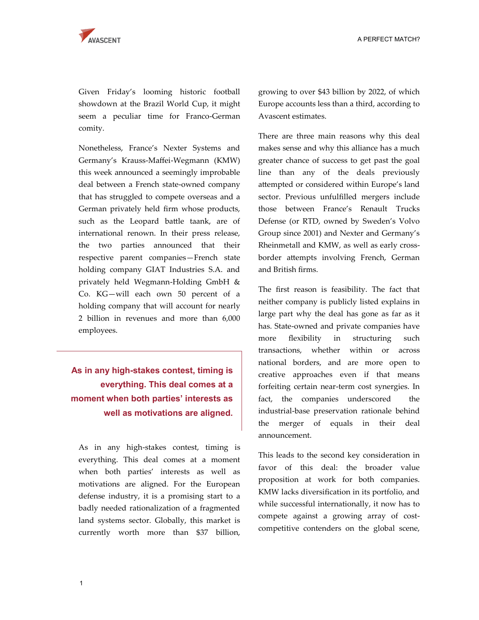Given Friday's looming historic football showdown at the Brazil World Cup, it might seem a peculiar time for Franco-German comity.

Nonetheless, France's Nexter Systems and Germany's Krauss-Maffei-Wegmann (KMW) this week announced a seemingly improbable deal between a French state-owned company that has struggled to compete overseas and a German privately held firm whose products, such as the Leopard battle taank, are of international renown. In their press release, the two parties announced that their respective parent companies—French state holding company GIAT Industries S.A. and privately held Wegmann-Holding GmbH & Co. KG—will each own 50 percent of a holding company that will account for nearly 2 billion in revenues and more than 6,000 employees.

## **As in any high-stakes contest, timing is everything. This deal comes at a moment when both parties' interests as well as motivations are aligned.**

As in any high-stakes contest, timing is everything. This deal comes at a moment when both parties' interests as well as motivations are aligned. For the European defense industry, it is a promising start to a badly needed rationalization of a fragmented land systems sector. Globally, this market is currently worth more than \$37 billion,

growing to over \$43 billion by 2022, of which Europe accounts less than a third, according to Avascent estimates.

There are three main reasons why this deal makes sense and why this alliance has a much greater chance of success to get past the goal line than any of the deals previously attempted or considered within Europe's land sector. Previous unfulfilled mergers include those between France's Renault Trucks Defense (or RTD, owned by Sweden's Volvo Group since 2001) and Nexter and Germany's Rheinmetall and KMW, as well as early crossborder attempts involving French, German and British firms.

The first reason is feasibility. The fact that neither company is publicly listed explains in large part why the deal has gone as far as it has. State-owned and private companies have more flexibility in structuring such transactions, whether within or across national borders, and are more open to creative approaches even if that means forfeiting certain near-term cost synergies. In fact, the companies underscored the industrial-base preservation rationale behind the merger of equals in their deal announcement.

This leads to the second key consideration in favor of this deal: the broader value proposition at work for both companies. KMW lacks diversification in its portfolio, and while successful internationally, it now has to compete against a growing array of costcompetitive contenders on the global scene,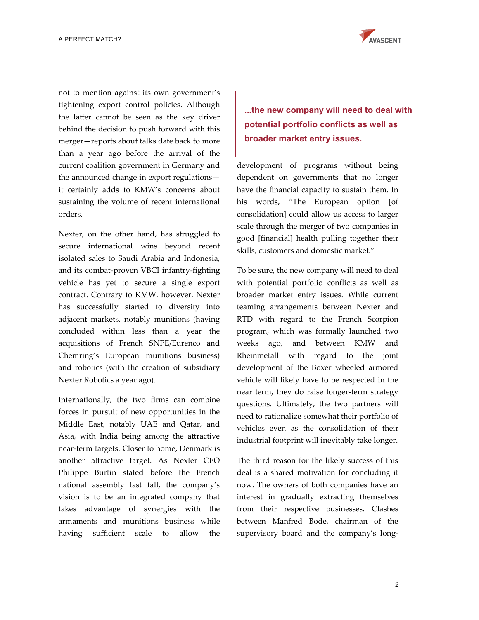

not to mention against its own government's tightening export control policies. Although the latter cannot be seen as the key driver behind the decision to push forward with this merger—reports about talks date back to more than a year ago before the arrival of the current coalition government in Germany and the announced change in export regulations it certainly adds to KMW's concerns about sustaining the volume of recent international orders.

Nexter, on the other hand, has struggled to secure international wins beyond recent isolated sales to Saudi Arabia and Indonesia, and its combat-proven VBCI infantry-fighting vehicle has yet to secure a single export contract. Contrary to KMW, however, Nexter has successfully started to diversity into adjacent markets, notably munitions (having concluded within less than a year the acquisitions of French SNPE/Eurenco and Chemring's European munitions business) and robotics (with the creation of subsidiary Nexter Robotics a year ago).

Internationally, the two firms can combine forces in pursuit of new opportunities in the Middle East, notably UAE and Qatar, and Asia, with India being among the attractive near-term targets. Closer to home, Denmark is another attractive target. As Nexter CEO Philippe Burtin stated before the French national assembly last fall, the company's vision is to be an integrated company that takes advantage of synergies with the armaments and munitions business while having sufficient scale to allow the

**...the new company will need to deal with potential portfolio conflicts as well as broader market entry issues.**

development of programs without being dependent on governments that no longer have the financial capacity to sustain them. In his words, "The European option [of consolidation] could allow us access to larger scale through the merger of two companies in good [financial] health pulling together their skills, customers and domestic market."

To be sure, the new company will need to deal with potential portfolio conflicts as well as broader market entry issues. While current teaming arrangements between Nexter and RTD with regard to the French Scorpion program, which was formally launched two weeks ago, and between KMW and Rheinmetall with regard to the joint development of the Boxer wheeled armored vehicle will likely have to be respected in the near term, they do raise longer-term strategy questions. Ultimately, the two partners will need to rationalize somewhat their portfolio of vehicles even as the consolidation of their industrial footprint will inevitably take longer.

The third reason for the likely success of this deal is a shared motivation for concluding it now. The owners of both companies have an interest in gradually extracting themselves from their respective businesses. Clashes between Manfred Bode, chairman of the supervisory board and the company's long-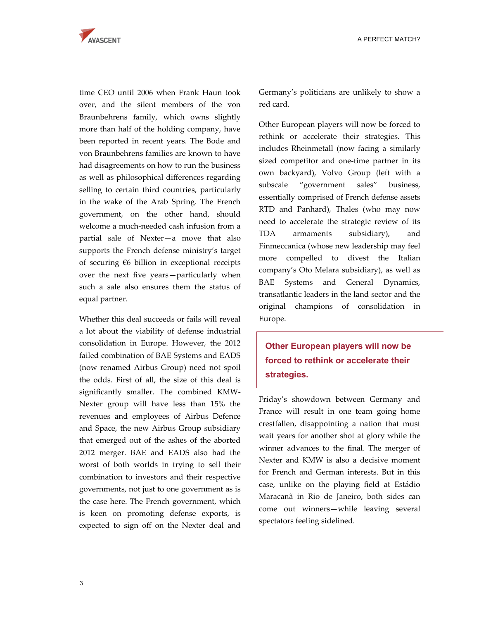

time CEO until 2006 when Frank Haun took over, and the silent members of the von Braunbehrens family, which owns slightly more than half of the holding company, have been reported in recent years. The Bode and von Braunbehrens families are known to have had disagreements on how to run the business as well as philosophical differences regarding selling to certain third countries, particularly in the wake of the Arab Spring. The French government, on the other hand, should welcome a much-needed cash infusion from a partial sale of Nexter—a move that also supports the French defense ministry's target of securing €6 billion in exceptional receipts over the next five years—particularly when such a sale also ensures them the status of equal partner.

Whether this deal succeeds or fails will reveal a lot about the viability of defense industrial consolidation in Europe. However, the 2012 failed combination of BAE Systems and EADS (now renamed Airbus Group) need not spoil the odds. First of all, the size of this deal is significantly smaller. The combined KMW-Nexter group will have less than 15% the revenues and employees of Airbus Defence and Space, the new Airbus Group subsidiary that emerged out of the ashes of the aborted 2012 merger. BAE and EADS also had the worst of both worlds in trying to sell their combination to investors and their respective governments, not just to one government as is the case here. The French government, which is keen on promoting defense exports, is expected to sign off on the Nexter deal and Germany's politicians are unlikely to show a red card.

Other European players will now be forced to rethink or accelerate their strategies. This includes Rheinmetall (now facing a similarly sized competitor and one-time partner in its own backyard), Volvo Group (left with a subscale "government sales" business, essentially comprised of French defense assets RTD and Panhard), Thales (who may now need to accelerate the strategic review of its TDA armaments subsidiary), and Finmeccanica (whose new leadership may feel more compelled to divest the Italian company's Oto Melara subsidiary), as well as BAE Systems and General Dynamics, transatlantic leaders in the land sector and the original champions of consolidation in Europe.

## **Other European players will now be forced to rethink or accelerate their strategies.**

Friday's showdown between Germany and France will result in one team going home crestfallen, disappointing a nation that must wait years for another shot at glory while the winner advances to the final. The merger of Nexter and KMW is also a decisive moment for French and German interests. But in this case, unlike on the playing field at Estádio Maracanã in Rio de Janeiro, both sides can come out winners—while leaving several spectators feeling sidelined.